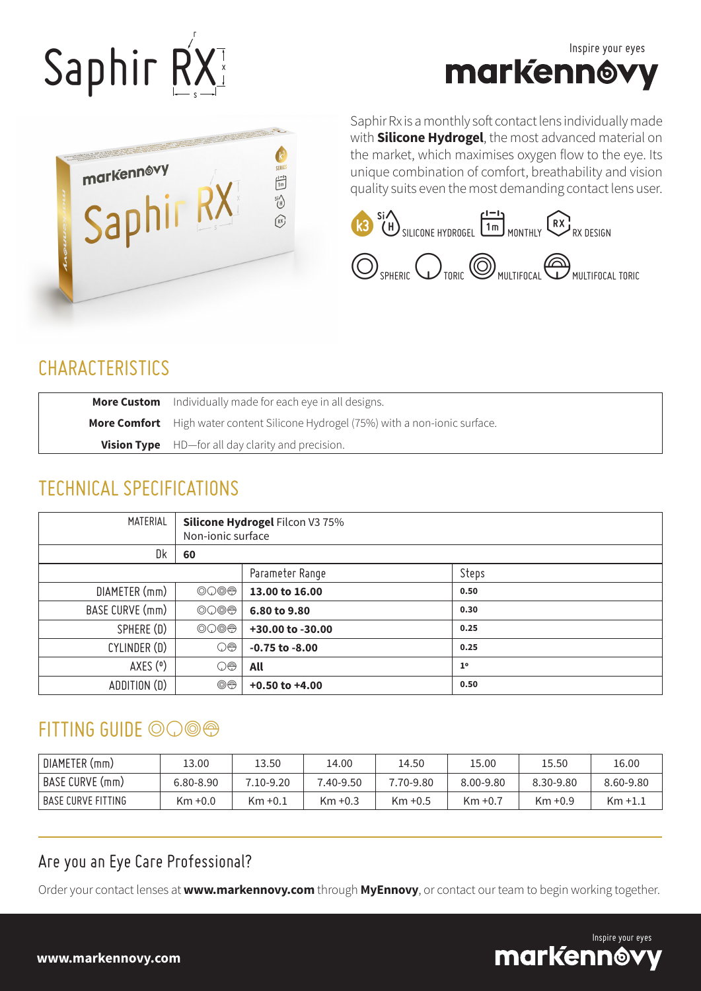# Saphir RX x s





Saphir Rx is a monthly soft contact lens individually made with **Silicone Hydrogel**, the most advanced material on the market, which maximises oxygen flow to the eye. Its unique combination of comfort, breathability and vision quality suits even the most demanding contact lens user.



#### **CHARACTERISTICS**

| <b>More Custom</b> Individually made for each eye in all designs.                        |
|------------------------------------------------------------------------------------------|
| <b>More Comfort</b> High water content Silicone Hydrogel (75%) with a non-ionic surface. |
| <b>Vision Type</b> HD-for all day clarity and precision.                                 |

#### TECHNICAL SPECIFICATIONS

| MATERIAL        | <b>Silicone Hydrogel Filcon V3 75%</b><br>Non-ionic surface |                    |                |  |  |  |  |  |
|-----------------|-------------------------------------------------------------|--------------------|----------------|--|--|--|--|--|
| Dk              | 60                                                          |                    |                |  |  |  |  |  |
|                 |                                                             | Parameter Range    | Steps          |  |  |  |  |  |
| DIAMETER (mm)   | $\circledcirc\circledcirc$                                  | 13.00 to 16.00     | 0.50           |  |  |  |  |  |
| BASE CURVE (mm) | $\circledcirc\circledcirc$                                  | 6.80 to 9.80       | 0.30           |  |  |  |  |  |
| SPHERE (D)      | $\circledcirc\circledcirc$                                  | +30.00 to -30.00   | 0.25           |  |  |  |  |  |
| CYLINDER (D)    | $\bigcirc\oplus$                                            | $-0.75$ to $-8.00$ | 0.25           |  |  |  |  |  |
| AXES (°)        | $\bigcirc\oplus$                                            | All                | 1 <sup>°</sup> |  |  |  |  |  |
| ADDITION (D)    | $\circledcirc$                                              | $+0.50$ to $+4.00$ | 0.50           |  |  |  |  |  |

### $FITTING GUIDE  $\odot$ ,$

| DIAMETER (mm)        | '.3.00     | 13.50      | 14.00      | 14.50      | 15.00      | 15.50      | 16.00     |
|----------------------|------------|------------|------------|------------|------------|------------|-----------|
| BASE CURVE (mm)      | 6.80-8.90  | 7.10-9.20  | 7.40-9.50  | 7.70-9.80  | 8.00-9.80  | 8.30-9.80  | 8.60-9.80 |
| I BASE CURVE FITTING | $Km + 0.0$ | $Km + 0.1$ | $Km + 0.3$ | $Km + 0.5$ | $Km + 0.7$ | $Km + 0.9$ | Km +1.1   |

#### Are you an Eye Care Professional?

Order your contact lenses at **www.markennovy.com** through **MyEnnovy**, or contact our team to begin working together.